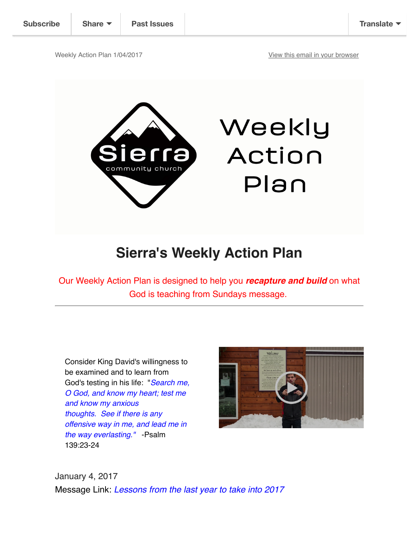

## **Sierra's Weekly Action Plan**

Our Weekly Action Plan is designed to help you *recapture and build* on what God is teaching from Sundays message.

Consider King David's willingness to be examined and to learn from God's testing in his life: "*Search me, O God, and know my heart; test me and know my anxious thoughts. See if there is any offensive way in me, and lead me in the way everlasting."* -Psalm 139:23-24



Plan

January 4, 2017 Message Link: *Lessons from the last year to take into 2017*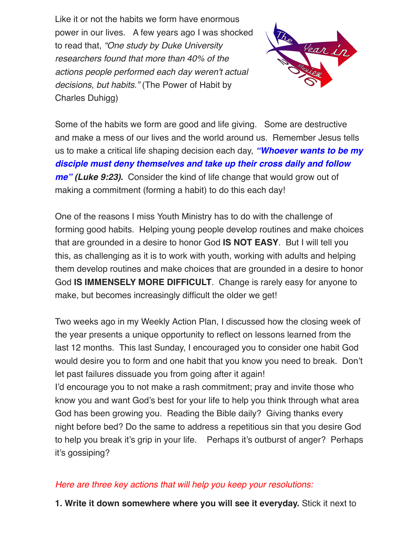Like it or not the habits we form have enormous power in our lives. A few years ago I was shocked to read that, *"One study by Duke University researchers found that more than 40% of the actions people performed each day weren't actual decisions, but habits."* (The Power of Habit by Charles Duhigg)



Some of the habits we form are good and life giving. Some are destructive and make a mess of our lives and the world around us. Remember Jesus tells us to make a critical life shaping decision each day, *"Whoever wants to be my disciple must deny themselves and take up their cross daily and follow me" (Luke 9:23).* Consider the kind of life change that would grow out of making a commitment (forming a habit) to do this each day!

One of the reasons I miss Youth Ministry has to do with the challenge of forming good habits. Helping young people develop routines and make choices that are grounded in a desire to honor God **IS NOT EASY**. But I will tell you this, as challenging as it is to work with youth, working with adults and helping them develop routines and make choices that are grounded in a desire to honor God **IS IMMENSELY MORE DIFFICULT**. Change is rarely easy for anyone to make, but becomes increasingly difficult the older we get!

Two weeks ago in my Weekly Action Plan, I discussed how the closing week of the year presents a unique opportunity to reflect on lessons learned from the last 12 months. This last Sunday, I encouraged you to consider one habit God would desire you to form and one habit that you know you need to break. Don't let past failures dissuade you from going after it again!

I'd encourage you to not make a rash commitment; pray and invite those who know you and want God's best for your life to help you think through what area God has been growing you. Reading the Bible daily? Giving thanks every night before bed? Do the same to address a repetitious sin that you desire God to help you break it's grip in your life. Perhaps it's outburst of anger? Perhaps it's gossiping?

## *Here are three key actions that will help you keep your resolutions:*

**1. Write it down somewhere where you will see it everyday.** Stick it next to